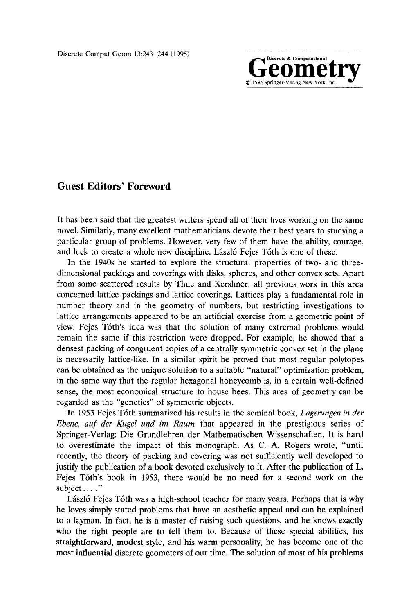Geomputational **Computational <b>Computational Computational Computational Computational Computational Computational Computational Computational Computational Computational Computational Computational**

## **Guest Editors' Foreword**

It has been said that the greatest writers spend all of their lives working on the same novel. Similarly, many excellent mathematicians devote their best years to studying a particular group of problems. However, very few of them have the ability, courage, and luck to create a whole new discipline. László Fejes Tóth is one of these.

In the 1940s he started to explore the structural properties of two- and threedimensional packings and coverings with disks, spheres, and other convex sets. Apart from some scattered results by Thue and Kershner, all previous work in this area concerned lattice packings and lattice coverings. Lattices play a fundamental role in number theory and in the geometry of numbers, but restricting investigations to lattice arrangements appeared to be an artificial exercise from a geometric point of view. Fejes T6th's idea was that the solution of many extremal problems would remain the same if this restriction were dropped. For example, he showed that a densest packing of congruent copies of a centrally symmetric convex set in the plane is necessarily lattice-like. In a similar spirit he proved that most regular polytopes can be obtained as the unique solution to a suitable "natural" optimization problem, in the same way that the regular hexagonal honeycomb is, in a certain well-defined sense, the most economical structure to house bees. This area of geometry can be regarded as the "genetics" of symmetric objects.

In 1953 Fejes T6th summarized his results in the seminal book, *Lagerungen in der Ebene, auf der Kugel und im Raum* that appeared in the prestigious series of Springer-Verlag: Die Grundlehren der Mathematischen Wissenschaften. It is hard to overestimate the impact of this monograph. As C. A. Rogers wrote, "until recently, the theory of packing and covering was not sufficiently well developed to justify the publication of a book devoted exclusively to it. After the publication of L. Fejes T6th's book in 1953, there would be no need for a second work on the subject ...."

László Fejes Tóth was a high-school teacher for many years. Perhaps that is why he loves simply stated problems that have an aesthetic appeal and can be explained to a layman. In fact, he is a master of raising such questions, and he knows exactly who the right people are to tell them to. Because of these special abilities, his straightforward, modest style, and his warm personality, he has become one of the most influential discrete geometers of our time. The solution of most of his problems